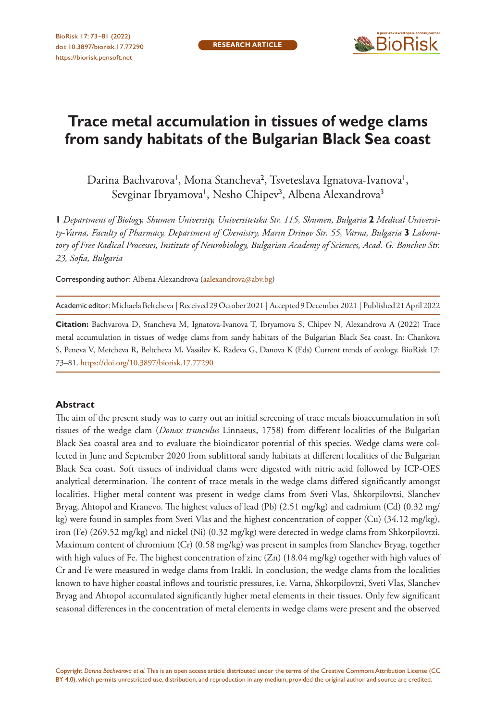

# **Trace metal accumulation in tissues of wedge clams from sandy habitats of the Bulgarian Black Sea coast**

Darina Bachvarova', Mona Stancheva<sup>2</sup>, Tsveteslava Ignatova-Ivanova', Sevginar Ibryamova', Nesho Chipev<sup>3</sup>, Albena Alexandrova<sup>3</sup>

**1** *Department of Biology, Shumen University, Universitetska Str. 115, Shumen, Bulgaria* **2** *Medical University-Varna, Faculty of Pharmacy, Department of Chemistry, Marin Drinov Str. 55, Varna, Bulgaria* **3** *Laboratory of Free Radical Processes, Institute of Neurobiology, Bulgarian Academy of Sciences, Acad. G. Bonchev Str. 23, Sofia, Bulgaria*

Corresponding author: Albena Alexandrova ([aalexandrova@abv.bg\)](mailto:aalexandrova@abv.bg)

Academic editor: Michaela Beltcheva | Received 29 October 2021 | Accepted 9 December 2021 | Published 21 April 2022

**Citation:** Bachvarova D, Stancheva M, Ignatova-Ivanova T, Ibryamova S, Chipev N, Alexandrova A (2022) Trace metal accumulation in tissues of wedge clams from sandy habitats of the Bulgarian Black Sea coast. In: Chankova S, Peneva V, Metcheva R, Beltcheva M, Vassilev K, Radeva G, Danova K (Eds) Current trends of ecology. BioRisk 17: 73–81. <https://doi.org/10.3897/biorisk.17.77290>

#### **Abstract**

The aim of the present study was to carry out an initial screening of trace metals bioaccumulation in soft tissues of the wedge clam (*Donax trunculus* Linnaeus, 1758) from different localities of the Bulgarian Black Sea coastal area and to evaluate the bioindicator potential of this species. Wedge clams were collected in June and September 2020 from sublittoral sandy habitats at different localities of the Bulgarian Black Sea coast. Soft tissues of individual clams were digested with nitric acid followed by ICP-OES analytical determination. The content of trace metals in the wedge clams differed significantly amongst localities. Higher metal content was present in wedge clams from Sveti Vlas, Shkorpilovtsi, Slanchev Bryag, Ahtopol and Kranevo. The highest values of lead (Pb) (2.51 mg/kg) and cadmium (Cd) (0.32 mg/ kg) were found in samples from Sveti Vlas and the highest concentration of copper (Cu) (34.12 mg/kg), iron (Fe) (269.52 mg/kg) and nickel (Ni) (0.32 mg/kg) were detected in wedge clams from Shkorpilovtzi. Maximum content of chromium (Cr) (0.58 mg/kg) was present in samples from Slanchev Bryag, together with high values of Fe. The highest concentration of zinc (Zn) (18.04 mg/kg) together with high values of Cr and Fe were measured in wedge clams from Irakli. In conclusion, the wedge clams from the localities known to have higher coastal inflows and touristic pressures, i.e. Varna, Shkorpilovtzi, Sveti Vlas, Slanchev Bryag and Ahtopol accumulated significantly higher metal elements in their tissues. Only few significant seasonal differences in the concentration of metal elements in wedge clams were present and the observed

Copyright *Darina Bachvarova et al.* This is an open access article distributed under the terms of the [Creative Commons Attribution License \(CC](http://creativecommons.org/licenses/by/4.0/)  [BY 4.0\)](http://creativecommons.org/licenses/by/4.0/), which permits unrestricted use, distribution, and reproduction in any medium, provided the original author and source are credited.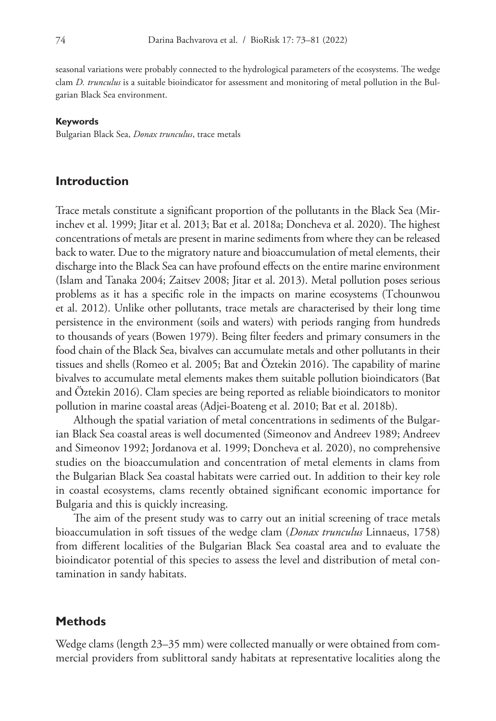seasonal variations were probably connected to the hydrological parameters of the ecosystems. The wedge clam *D. trunculus* is a suitable bioindicator for assessment and monitoring of metal pollution in the Bulgarian Black Sea environment.

#### **Keywords**

Bulgarian Black Sea, *Donax trunculus*, trace metals

#### **Introduction**

Trace metals constitute a significant proportion of the pollutants in the Black Sea (Mirinchev et al. 1999; Jitar et al. 2013; Bat et al. 2018a; Doncheva et al. 2020). The highest concentrations of metals are present in marine sediments from where they can be released back to water. Due to the migratory nature and bioaccumulation of metal elements, their discharge into the Black Sea can have profound effects on the entire marine environment (Islam and Tanaka 2004; Zaitsev 2008; Jitar et al. 2013). Metal pollution poses serious problems as it has a specific role in the impacts on marine ecosystems (Tchounwou et al. 2012). Unlike other pollutants, trace metals are characterised by their long time persistence in the environment (soils and waters) with periods ranging from hundreds to thousands of years (Bowen 1979). Being filter feeders and primary consumers in the food chain of the Black Sea, bivalves can accumulate metals and other pollutants in their tissues and shells (Romeo et al. 2005; Bat and Öztekin 2016). The capability of marine bivalves to accumulate metal elements makes them suitable pollution bioindicators (Bat and Öztekin 2016). Clam species are being reported as reliable bioindicators to monitor pollution in marine coastal areas (Adjei-Boateng et al. 2010; Bat et al. 2018b).

Although the spatial variation of metal concentrations in sediments of the Bulgarian Black Sea coastal areas is well documented (Simeonov and Andreev 1989; Andreev and Simeonov 1992; Jordanova et al. 1999; Doncheva et al. 2020), no comprehensive studies on the bioaccumulation and concentration of metal elements in clams from the Bulgarian Black Sea coastal habitats were carried out. In addition to their key role in coastal ecosystems, clams recently obtained significant economic importance for Bulgaria and this is quickly increasing.

The aim of the present study was to carry out an initial screening of trace metals bioaccumulation in soft tissues of the wedge clam (*Donax trunculus* Linnaeus, 1758) from different localities of the Bulgarian Black Sea coastal area and to evaluate the bioindicator potential of this species to assess the level and distribution of metal contamination in sandy habitats.

## **Methods**

Wedge clams (length 23–35 mm) were collected manually or were obtained from commercial providers from sublittoral sandy habitats at representative localities along the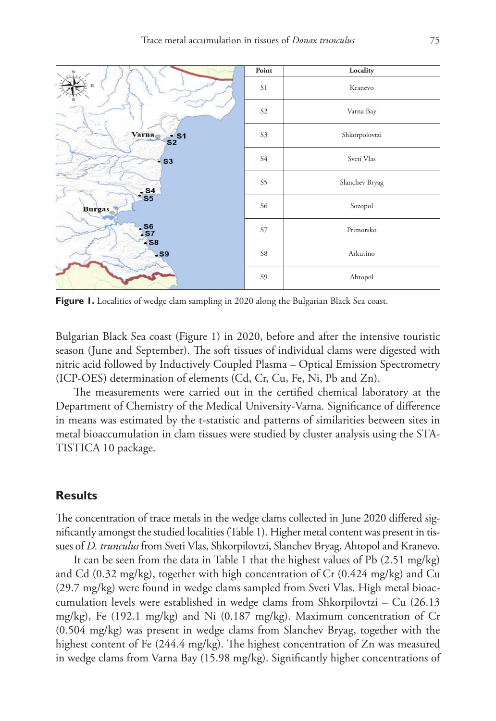

Figure 1. Localities of wedge clam sampling in 2020 along the Bulgarian Black Sea coast.

Bulgarian Black Sea coast (Figure 1) in 2020, before and after the intensive touristic season (June and September). The soft tissues of individual clams were digested with nitric acid followed by Inductively Coupled Plasma – Optical Emission Spectrometry (ICP-OES) determination of elements (Cd, Cr, Cu, Fe, Ni, Pb and Zn).

The measurements were carried out in the certified chemical laboratory at the Department of Chemistry of the Medical University-Varna. Significance of difference in means was estimated by the t-statistic and patterns of similarities between sites in metal bioaccumulation in clam tissues were studied by cluster analysis using the STA-TISTICA 10 package.

#### **Results**

The concentration of trace metals in the wedge clams collected in June 2020 differed significantly amongst the studied localities (Table 1). Higher metal content was present in tissues of *D. trunculus* from Sveti Vlas, Shkorpilovtzi, Slanchev Bryag, Ahtopol and Kranevo.

It can be seen from the data in Table 1 that the highest values of Pb (2.51 mg/kg) and Cd (0.32 mg/kg), together with high concentration of Cr (0.424 mg/kg) and Cu (29.7 mg/kg) were found in wedge clams sampled from Sveti Vlas. High metal bioaccumulation levels were established in wedge clams from Shkorpilovtzi – Cu (26.13 mg/kg), Fe (192.1 mg/kg) and Ni (0.187 mg/kg). Maximum concentration of Cr (0.504 mg/kg) was present in wedge clams from Slanchev Bryag, together with the highest content of Fe (244.4 mg/kg). The highest concentration of Zn was measured in wedge clams from Varna Bay (15.98 mg/kg). Significantly higher concentrations of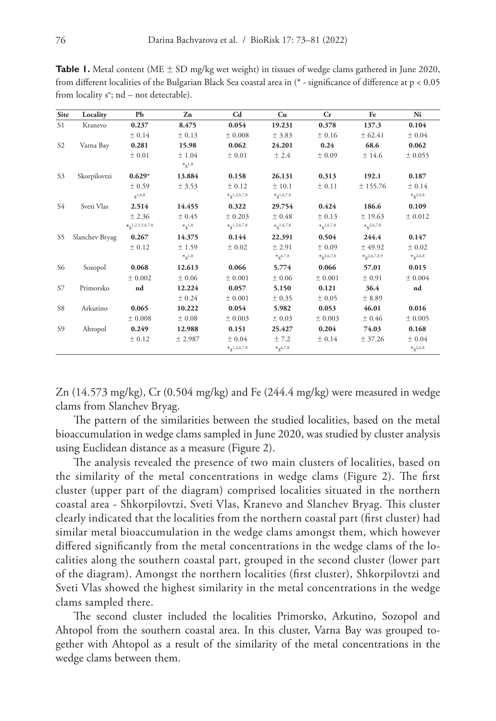**Table 1.** Metal content (ME  $\pm$  SD mg/kg wet weight) in tissues of wedge clams gathered in June 2020, from different localities of the Bulgarian Black Sea coastal area in (\* - significance of difference at p < 0.05 from locality  $s^n$ ;  $nd$  – not detectable).

| Site           | Locality       | Pb                             | Zn         | C <sub>d</sub>             | Cu                       | Cr                                   | Fe                         | Ni                        |
|----------------|----------------|--------------------------------|------------|----------------------------|--------------------------|--------------------------------------|----------------------------|---------------------------|
| S1             | Kranevo        | 0.237                          | 8.475      | 0.054                      | 19.231                   | 0.378                                | 137.3                      | 0.104                     |
|                |                | ± 0.14                         | ± 0.13     | ± 0.008                    | ± 3.83                   | ± 0.16                               | ± 62.41                    | ± 0.04                    |
| S <sub>2</sub> | Varna Bay      | 0.281                          | 15.98      | 0.062                      | 24.201                   | 0.24                                 | 68.6                       | 0.062                     |
|                |                | ± 0.01                         | ±1.04      | ± 0.01                     | ± 2.4                    | ± 0.09                               | ± 14.6                     | $±$ 0.055                 |
|                |                |                                | $*_{S}1,8$ |                            |                          |                                      |                            |                           |
| S <sub>3</sub> | Skorpilovtzi   | $0.629*$                       | 13.884     | 0.158                      | 26.131                   | 0.313                                | 192.1                      | 0.187                     |
|                |                | ± 0.59                         | ± 3.53     | $±$ 0.12                   | ±10.1                    | ± 0.11                               | ± 155.76                   | ± 0.14                    |
|                |                | $s^{1,6,8}$                    |            | $*$ <sub>S</sub> 1,2,6,7,8 | $*$ <sub>S</sub> 1,6,7,8 |                                      |                            | $*_{\mathcal{S}^{2,6,8}}$ |
| S4             | Sveti Vlas     | 2.514                          | 14.455     | 0.322                      | 29.754                   | 0.424                                | 186.6                      | 0.109                     |
|                |                | ± 2.36                         | ± 0.45     | ± 0.203                    | ± 0.48                   | ± 0.13                               | ± 19.63                    | ± 0.012                   |
|                |                | $*$ <sub>S</sub> 1,2,3,5,6,7,8 | $*_{S}1,8$ | $*$ <sub>S</sub> 1,2,6,7,8 | $*_{S}1,6,7,8$           | $*$ <sub>S</sub> <sup>2</sup> ,6,7,8 | $*_{S^{2,6,7,8}}$          |                           |
| S5             | Slanchev Bryag | 0.267                          | 14.375     | 0.144                      | 22.391                   | 0.504                                | 244.4                      | 0.147                     |
|                |                | ± 0.12                         | ±1.59      | ± 0.02                     | ± 2.91                   | ± 0.09                               | ± 49.92                    | ± 0.02                    |
|                |                |                                | $*_{S}1,8$ |                            | $*_66,7,8$               | $*_{\mathcal{S}}^22,6,7,8$           | $*$ <sub>S</sub> 2,6,7,8,9 | $*_{S^{2,6,8}}$           |
| S6             | Sozopol        | 0.068                          | 12.613     | 0.066                      | 5.774                    | 0.066                                | 57.01                      | 0.015                     |
|                |                | ± 0.002                        | ± 0.06     | ± 0.001                    | ±0.06                    | ± 0.001                              | ± 0.91                     | ± 0.004                   |
| S7             | Primorsko      | nd                             | 12.224     | 0.057                      | 5.150                    | 0.121                                | 36.4                       | nd                        |
|                |                |                                | ± 0.24     | ± 0.001                    | ± 0.35                   | ± 0.05                               | ± 8.89                     |                           |
| S8             | Arkutino       | 0.065                          | 10.222     | 0.054                      | 5.982                    | 0.053                                | 46.01                      | 0.016                     |
|                |                | $\pm 0.008$                    | ± 0.08     | ± 0.003                    | ± 0.03                   | $\pm 0.003$                          | ± 0.46                     | ± 0.005                   |
| S <sub>9</sub> | Ahtopol        | 0.249                          | 12.988     | 0.151                      | 25.427                   | 0.204                                | 74.03                      | 0.168                     |
|                |                | ± 0.12                         | ± 2.987    | ± 0.04                     | ± 7.2                    | ± 0.14                               | ± 37.26                    | ± 0.04                    |
|                |                |                                |            | $*$ <sub>S</sub> 1,2,6,7,8 | $*_66,7,8$               |                                      |                            | $*_{S^{2,6,8}}$           |

Zn (14.573 mg/kg), Cr (0.504 mg/kg) and Fe (244.4 mg/kg) were measured in wedge clams from Slanchev Bryag.

The pattern of the similarities between the studied localities, based on the metal bioaccumulation in wedge clams sampled in June 2020, was studied by cluster analysis using Euclidean distance as a measure (Figure 2).

The analysis revealed the presence of two main clusters of localities, based on the similarity of the metal concentrations in wedge clams (Figure 2). The first cluster (upper part of the diagram) comprised localities situated in the northern coastal area - Shkorpilovtzi, Sveti Vlas, Kranevo and Slanchev Bryag. This cluster clearly indicated that the localities from the northern coastal part (first cluster) had similar metal bioaccumulation in the wedge clams amongst them, which however differed significantly from the metal concentrations in the wedge clams of the localities along the southern coastal part, grouped in the second cluster (lower part of the diagram). Amongst the northern localities (first cluster), Shkorpilovtzi and Sveti Vlas showed the highest similarity in the metal concentrations in the wedge clams sampled there.

The second cluster included the localities Primorsko, Arkutino, Sozopol and Ahtopol from the southern coastal area. In this cluster, Varna Bay was grouped together with Ahtopol as a result of the similarity of the metal concentrations in the wedge clams between them.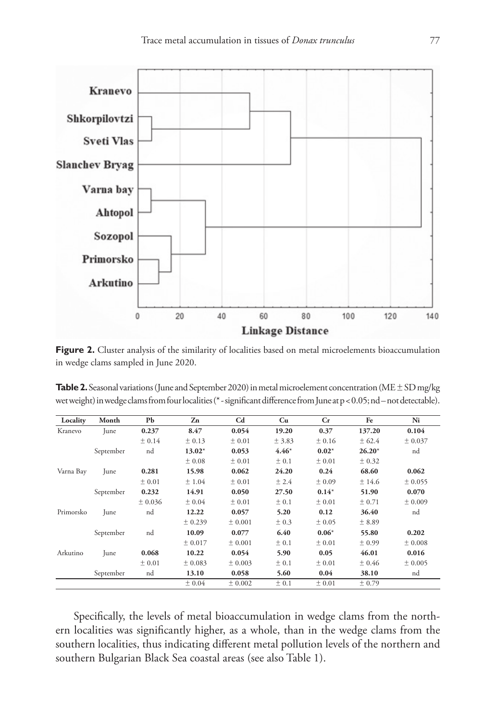

**Figure 2.** Cluster analysis of the similarity of localities based on metal microelements bioaccumulation in wedge clams sampled in June 2020.

**Table 2.**Seasonal variations (June and September 2020) in metal microelement concentration (ME ±SD mg/kg wet weight) in wedge clams from four localities (\* - significant difference from June at p < 0.05; nd – not detectable).

| Locality  | Month     | Pb      | Zn       | C <sub>d</sub> | Cu      | Cr      | Fe         | Ni      |
|-----------|-----------|---------|----------|----------------|---------|---------|------------|---------|
| Kranevo   | June      | 0.237   | 8.47     | 0.054          | 19.20   | 0.37    | 137.20     | 0.104   |
|           |           | ± 0.14  | ± 0.13   | ± 0.01         | ± 3.83  | ± 0.16  | ± 62.4     | ± 0.037 |
|           | September | nd      | $13.02*$ | 0.053          | $4.46*$ | $0.02*$ | $26.20*$   | nd      |
|           |           |         | ±0.08    | ± 0.01         | ± 0.1   | ± 0.01  | $\pm$ 0.32 |         |
| Varna Bay | June      | 0.281   | 15.98    | 0.062          | 24.20   | 0.24    | 68.60      | 0.062   |
|           |           | ± 0.01  | ±1.04    | ± 0.01         | ± 2.4   | ± 0.09  | ± 14.6     | ± 0.055 |
|           | September | 0.232   | 14.91    | 0.050          | 27.50   | $0.14*$ | 51.90      | 0.070   |
|           |           | ± 0.036 | ± 0.04   | ± 0.01         | ± 0.1   | ± 0.01  | ± 0.71     | ± 0.009 |
| Primorsko | June      | nd      | 12.22    | 0.057          | 5.20    | 0.12    | 36.40      | nd      |
|           |           |         | ± 0.239  | $±$ 0.001      | ± 0.3   | ± 0.05  | ± 8.89     |         |
|           | September | nd      | 10.09    | 0.077          | 6.40    | $0.06*$ | 55.80      | 0.202   |
|           |           |         | ± 0.017  | ± 0.001        | ± 0.1   | ± 0.01  | ± 0.99     | ± 0.008 |
| Arkutino  | June      | 0.068   | 10.22    | 0.054          | 5.90    | 0.05    | 46.01      | 0.016   |
|           |           | ± 0.01  | ± 0.083  | ± 0.003        | ± 0.1   | ± 0.01  | ± 0.46     | ± 0.005 |
|           | September | nd      | 13.10    | 0.058          | 5.60    | 0.04    | 38.10      | nd      |
|           |           |         | ± 0.04   | ± 0.002        | ± 0.1   | ± 0.01  | ± 0.79     |         |

Specifically, the levels of metal bioaccumulation in wedge clams from the northern localities was significantly higher, as a whole, than in the wedge clams from the southern localities, thus indicating different metal pollution levels of the northern and southern Bulgarian Black Sea coastal areas (see also Table 1).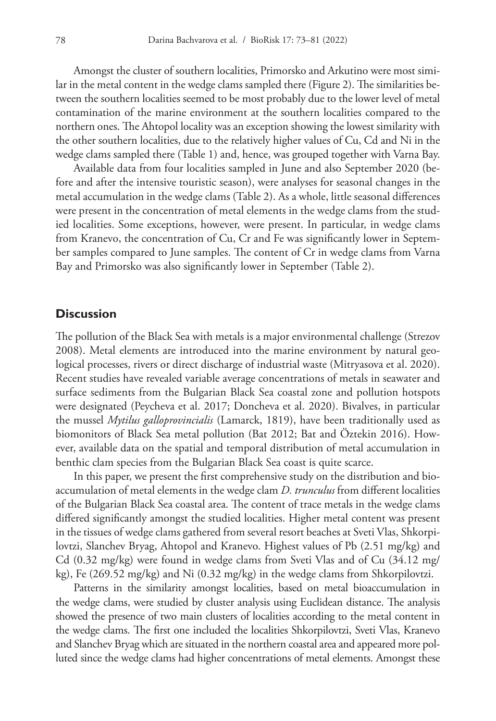Amongst the cluster of southern localities, Primorsko and Arkutino were most similar in the metal content in the wedge clams sampled there (Figure 2). The similarities between the southern localities seemed to be most probably due to the lower level of metal contamination of the marine environment at the southern localities compared to the northern ones. The Ahtopol locality was an exception showing the lowest similarity with the other southern localities, due to the relatively higher values of Cu, Cd and Ni in the wedge clams sampled there (Table 1) and, hence, was grouped together with Varna Bay.

Available data from four localities sampled in June and also September 2020 (before and after the intensive touristic season), were analyses for seasonal changes in the metal accumulation in the wedge clams (Table 2). As a whole, little seasonal differences were present in the concentration of metal elements in the wedge clams from the studied localities. Some exceptions, however, were present. In particular, in wedge clams from Kranevo, the concentration of Cu, Cr and Fe was significantly lower in September samples compared to June samples. The content of Cr in wedge clams from Varna Bay and Primorsko was also significantly lower in September (Table 2).

#### **Discussion**

The pollution of the Black Sea with metals is a major environmental challenge (Strezov 2008). Metal elements are introduced into the marine environment by natural geological processes, rivers or direct discharge of industrial waste (Mitryasova et al. 2020). Recent studies have revealed variable average concentrations of metals in seawater and surface sediments from the Bulgarian Black Sea coastal zone and pollution hotspots were designated (Peycheva et al. 2017; Doncheva et al. 2020). Bivalves, in particular the mussel *Mytilus galloprovincialis* (Lamarck, 1819), have been traditionally used as biomonitors of Black Sea metal pollution (Bat 2012; Bat and Öztekin 2016). However, available data on the spatial and temporal distribution of metal accumulation in benthic clam species from the Bulgarian Black Sea coast is quite scarce.

In this paper, we present the first comprehensive study on the distribution and bioaccumulation of metal elements in the wedge clam *D. trunculus* from different localities of the Bulgarian Black Sea coastal area. The content of trace metals in the wedge clams differed significantly amongst the studied localities. Higher metal content was present in the tissues of wedge clams gathered from several resort beaches at Sveti Vlas, Shkorpilovtzi, Slanchev Bryag, Ahtopol and Kranevo. Highest values of Pb (2.51 mg/kg) and Cd (0.32 mg/kg) were found in wedge clams from Sveti Vlas and of Cu (34.12 mg/ kg), Fe (269.52 mg/kg) and Ni (0.32 mg/kg) in the wedge clams from Shkorpilovtzi.

Patterns in the similarity amongst localities, based on metal bioaccumulation in the wedge clams, were studied by cluster analysis using Euclidean distance. The analysis showed the presence of two main clusters of localities according to the metal content in the wedge clams. The first one included the localities Shkorpilovtzi, Sveti Vlas, Kranevo and Slanchev Bryag which are situated in the northern coastal area and appeared more polluted since the wedge clams had higher concentrations of metal elements. Amongst these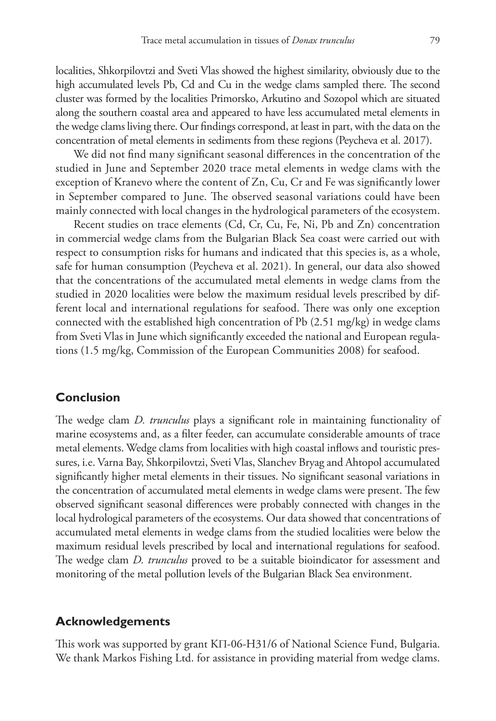localities, Shkorpilovtzi and Sveti Vlas showed the highest similarity, obviously due to the high accumulated levels Pb, Cd and Cu in the wedge clams sampled there. The second cluster was formed by the localities Primorsko, Arkutino and Sozopol which are situated along the southern coastal area and appeared to have less accumulated metal elements in the wedge clams living there. Our findings correspond, at least in part, with the data on the concentration of metal elements in sediments from these regions (Peycheva et al. 2017).

We did not find many significant seasonal differences in the concentration of the studied in June and September 2020 trace metal elements in wedge clams with the exception of Kranevo where the content of Zn, Cu, Cr and Fe was significantly lower in September compared to June. The observed seasonal variations could have been mainly connected with local changes in the hydrological parameters of the ecosystem.

Recent studies on trace elements (Cd, Cr, Cu, Fe, Ni, Pb and Zn) concentration in commercial wedge clams from the Bulgarian Black Sea coast were carried out with respect to consumption risks for humans and indicated that this species is, as a whole, safe for human consumption (Peycheva et al. 2021). In general, our data also showed that the concentrations of the accumulated metal elements in wedge clams from the studied in 2020 localities were below the maximum residual levels prescribed by different local and international regulations for seafood. There was only one exception connected with the established high concentration of Pb (2.51 mg/kg) in wedge clams from Sveti Vlas in June which significantly exceeded the national and European regulations (1.5 mg/kg, Commission of the European Communities 2008) for seafood.

#### **Conclusion**

The wedge clam *D. trunculus* plays a significant role in maintaining functionality of marine ecosystems and, as a filter feeder, can accumulate considerable amounts of trace metal elements. Wedge clams from localities with high coastal inflows and touristic pressures, i.e. Varna Bay, Shkorpilovtzi, Sveti Vlas, Slanchev Bryag and Ahtopol accumulated significantly higher metal elements in their tissues. No significant seasonal variations in the concentration of accumulated metal elements in wedge clams were present. The few observed significant seasonal differences were probably connected with changes in the local hydrological parameters of the ecosystems. Our data showed that concentrations of accumulated metal elements in wedge clams from the studied localities were below the maximum residual levels prescribed by local and international regulations for seafood. The wedge clam *D. trunculus* proved to be a suitable bioindicator for assessment and monitoring of the metal pollution levels of the Bulgarian Black Sea environment.

#### **Acknowledgements**

This work was supported by grant KП-06-H31/6 of National Science Fund, Bulgaria. We thank Markos Fishing Ltd. for assistance in providing material from wedge clams.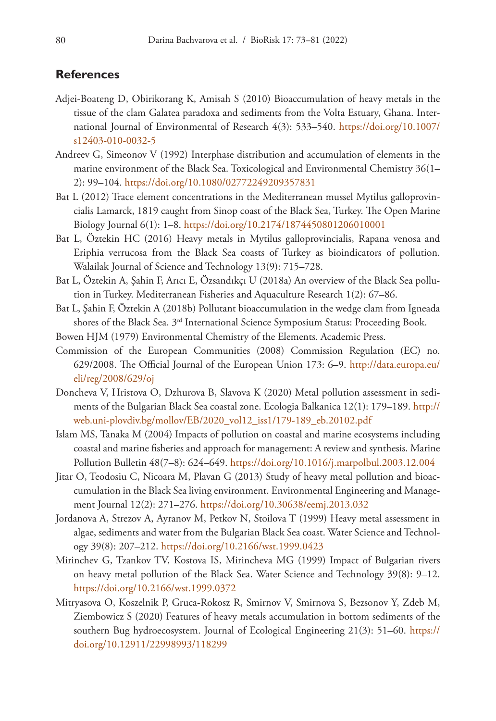### **References**

- Adjei-Boateng D, Obirikorang K, Amisah S (2010) Bioaccumulation of heavy metals in the tissue of the clam Galatea paradoxa and sediments from the Volta Estuary, Ghana. International Journal of Environmental of Research 4(3): 533–540. [https://doi.org/10.1007/](https://doi.org/10.1007/s12403-010-0032-5) [s12403-010-0032-5](https://doi.org/10.1007/s12403-010-0032-5)
- Andreev G, Simeonov V (1992) Interphase distribution and accumulation of elements in the marine environment of the Black Sea. Toxicological and Environmental Chemistry 36(1– 2): 99–104. <https://doi.org/10.1080/02772249209357831>
- Bat L (2012) Trace element concentrations in the Mediterranean mussel Mytilus galloprovincialis Lamarck, 1819 caught from Sinop coast of the Black Sea, Turkey. The Open Marine Biology Journal 6(1): 1–8. <https://doi.org/10.2174/1874450801206010001>
- Bat L, Öztekin HC (2016) Heavy metals in Mytilus galloprovincialis, Rapana venosa and Eriphia verrucosa from the Black Sea coasts of Turkey as bioindicators of pollution. Walailak Journal of Science and Technology 13(9): 715–728.
- Bat L, Öztekin A, Şahin F, Arıcı E, Özsandıkçı U (2018a) An overview of the Black Sea pollution in Turkey. Mediterranean Fisheries and Aquaculture Research 1(2): 67–86.
- Bat L, Şahin F, Öztekin A (2018b) Pollutant bioaccumulation in the wedge clam from Igneada shores of the Black Sea. 3<sup>rd</sup> International Science Symposium Status: Proceeding Book.
- Bowen HJM (1979) Environmental Chemistry of the Elements. Academic Press.
- Commission of the European Communities (2008) Commission Regulation (EC) no. 629/2008. The Official Journal of the European Union 173: 6–9. [http://data.europa.eu/](http://data.europa.eu/eli/reg/2008/629/oj) [eli/reg/2008/629/oj](http://data.europa.eu/eli/reg/2008/629/oj)
- Doncheva V, Hristova O, Dzhurova B, Slavova K (2020) Metal pollution assessment in sediments of the Bulgarian Black Sea coastal zone. Ecologia Balkanica 12(1): 179–189. [http://](http://web.uni-plovdiv.bg/mollov/EB/2020_vol12_iss1/179-189_eb.20102.pdf) [web.uni-plovdiv.bg/mollov/EB/2020\\_vol12\\_iss1/179-189\\_eb.20102.pdf](http://web.uni-plovdiv.bg/mollov/EB/2020_vol12_iss1/179-189_eb.20102.pdf)
- Islam MS, Tanaka M (2004) Impacts of pollution on coastal and marine ecosystems including coastal and marine fisheries and approach for management: A review and synthesis. Marine Pollution Bulletin 48(7–8): 624–649.<https://doi.org/10.1016/j.marpolbul.2003.12.004>
- Jitar O, Teodosiu C, Nicoara M, Plavan G (2013) Study of heavy metal pollution and bioaccumulation in the Black Sea living environment. Environmental Engineering and Management Journal 12(2): 271–276.<https://doi.org/10.30638/eemj.2013.032>
- Jordanova A, Strezov A, Ayranov M, Petkov N, Stoilova T (1999) Heavy metal assessment in algae, sediments and water from the Bulgarian Black Sea coast. Water Science and Technology 39(8): 207–212.<https://doi.org/10.2166/wst.1999.0423>
- Mirinchev G, Tzankov TV, Kostova IS, Mirincheva MG (1999) Impact of Bulgarian rivers on heavy metal pollution of the Black Sea. Water Science and Technology 39(8): 9–12. <https://doi.org/10.2166/wst.1999.0372>
- Mitryasova O, Koszelnik P, Gruca-Rokosz R, Smirnov V, Smirnova S, Bezsonov Y, Zdeb M, Ziembowicz S (2020) Features of heavy metals accumulation in bottom sediments of the southern Bug hydroecosystem. Journal of Ecological Engineering 21(3): 51–60. [https://](https://doi.org/10.12911/22998993/118299) [doi.org/10.12911/22998993/118299](https://doi.org/10.12911/22998993/118299)